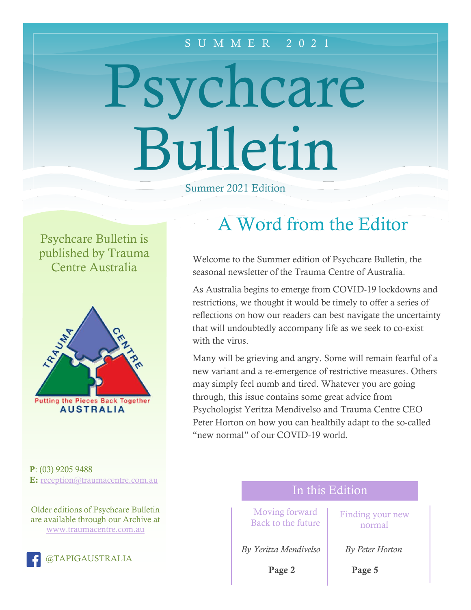#### S U M M E R 2 0 2 1

# Psychcare Bulletin

Summer 2021 Edition

Psychcare Bulletin is published by Trauma Centre Australia



P: (03) 9205 9488 E: [reception@traumacentre.com.au](mailto:reception@traumacentre.com.au)

Older editions of Psychcare Bulletin are available through our Archive at [www.traumacentre.com.au](http://www.traumacentre.com.au/)



# A Word from the Editor

Welcome to the Summer edition of Psychcare Bulletin, the seasonal newsletter of the Trauma Centre of Australia.

As Australia begins to emerge from COVID-19 lockdowns and restrictions, we thought it would be timely to offer a series of reflections on how our readers can best navigate the uncertainty that will undoubtedly accompany life as we seek to co-exist with the virus.

Many will be grieving and angry. Some will remain fearful of a new variant and a re-emergence of restrictive measures. Others may simply feel numb and tired. Whatever you are going through, this issue contains some great advice from Psychologist Yeritza Mendivelso and Trauma Centre CEO Peter Horton on how you can healthily adapt to the so-called "new normal" of our COVID-19 world.

## In this Edition

Moving forward Back to the future

*By Yeritza Mendivelso By Peter Horton*

Page 2

Finding your new normal

Page 5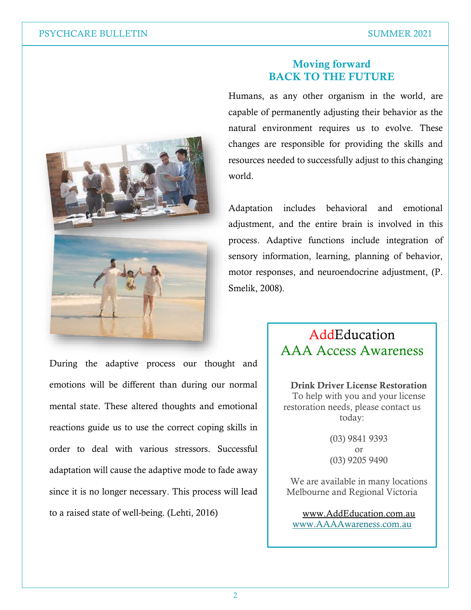

During the adaptive process our thought and emotions will be different than during our normal mental state. These altered thoughts and emotional reactions guide us to use the correct coping skills in order to deal with various stressors. Successful adaptation will cause the adaptive mode to fade away since it is no longer necessary. This process will lead to a raised state of well-being. (Lehti, 2016)

#### Moving forward BACK TO THE FUTURE

Humans, as any other organism in the world, are capable of permanently adjusting their behavior as the natural environment requires us to evolve. These changes are responsible for providing the skills and resources needed to successfully adjust to this changing world.

Adaptation includes behavioral and emotional adjustment, and the entire brain is involved in this process. Adaptive functions include integration of sensory information, learning, planning of behavior, motor responses, and neuroendocrine adjustment, (P. Smelik, 2008).

# **AddEducation** AAA Access Awareness

Drink Driver License Restoration To help with you and your license restoration needs, please contact us today:

> (03) 9841 9393 or (03) 9205 9490

We are available in many locations Melbourne and Regional Victoria

[www.AddEducation.com.au](http://www.addeducation.com.au/) [www.AAAAwareness.com.au](http://www.aaaawareness.com.au/)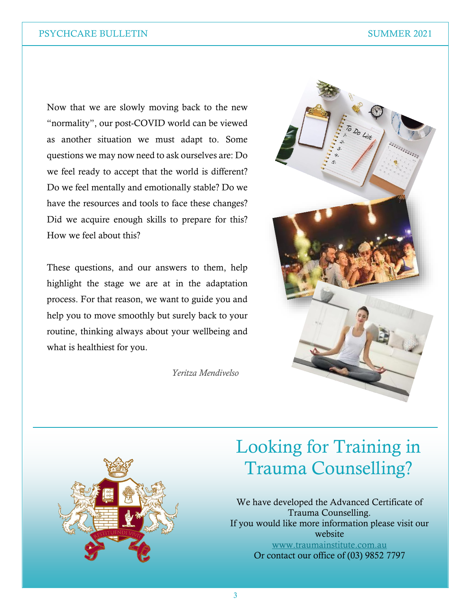Now that we are slowly moving back to the new "normality", our post-COVID world can be viewed as another situation we must adapt to. Some questions we may now need to ask ourselves are: Do we feel ready to accept that the world is different? Do we feel mentally and emotionally stable? Do we have the resources and tools to face these changes? Did we acquire enough skills to prepare for this? How we feel about this?

These questions, and our answers to them, help highlight the stage we are at in the adaptation process. For that reason, we want to guide you and help you to move smoothly but surely back to your routine, thinking always about your wellbeing and what is healthiest for you.

*Yeritza Mendivelso*





# Looking for Training in Trauma Counselling?

We have developed the Advanced Certificate of Trauma Counselling. If you would like more information please visit our website [www.traumainstitute.com.au](http://www.traumainstitute.com.au/) Or contact our office of (03) 9852 7797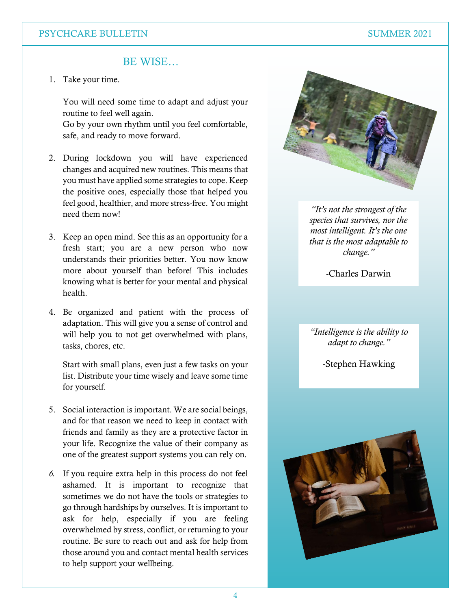#### PSYCHCARE BULLETIN SUMMER 2021

#### BE WISE…

1. Take your time.

You will need some time to adapt and adjust your routine to feel well again.

Go by your own rhythm until you feel comfortable, safe, and ready to move forward.

- 2. During lockdown you will have experienced changes and acquired new routines. This means that you must have applied some strategies to cope. Keep the positive ones, especially those that helped you feel good, healthier, and more stress-free. You might need them now!
- 3. Keep an open mind. See this as an opportunity for a fresh start; you are a new person who now understands their priorities better. You now know more about yourself than before! This includes knowing what is better for your mental and physical health.
- 4. Be organized and patient with the process of adaptation. This will give you a sense of control and will help you to not get overwhelmed with plans, tasks, chores, etc.

Start with small plans, even just a few tasks on your list. Distribute your time wisely and leave some time for yourself.

- 5. Social interaction is important. We are social beings, and for that reason we need to keep in contact with friends and family as they are a protective factor in your life. Recognize the value of their company as one of the greatest support systems you can rely on.
- *6.* If you require extra help in this process do not feel ashamed. It is important to recognize that sometimes we do not have the tools or strategies to go through hardships by ourselves. It is important to ask for help, especially if you are feeling overwhelmed by stress, conflict, or returning to your routine. Be sure to reach out and ask for help from those around you and contact mental health services to help support your wellbeing.



*"It's not the strongest of the species that survives, nor the most intelligent. It's the one that is the most adaptable to change."*

-Charles Darwin

*"Intelligence is the ability to adapt to change."*

-Stephen Hawking

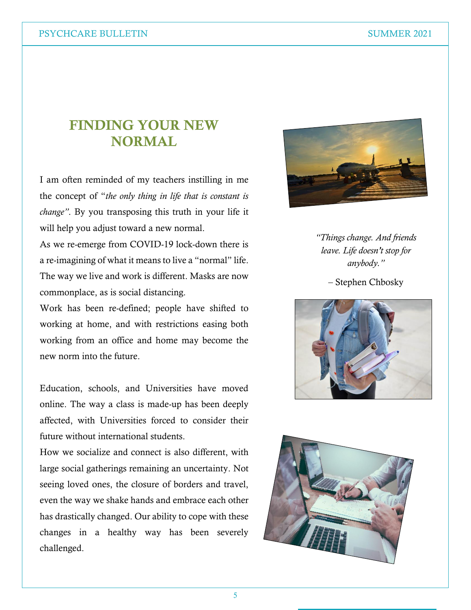# FINDING YOUR NEW NORMAL

I am often reminded of my teachers instilling in me the concept of "*the only thing in life that is constant is change"*. By you transposing this truth in your life it will help you adjust toward a new normal.

As we re-emerge from COVID-19 lock-down there is a re-imagining of what it means to live a "normal" life. The way we live and work is different. Masks are now commonplace, as is social distancing.

Work has been re-defined; people have shifted to working at home, and with restrictions easing both working from an office and home may become the new norm into the future.

Education, schools, and Universities have moved online. The way a class is made-up has been deeply affected, with Universities forced to consider their future without international students.

How we socialize and connect is also different, with large social gatherings remaining an uncertainty. Not seeing loved ones, the closure of borders and travel, even the way we shake hands and embrace each other has drastically changed. Our ability to cope with these changes in a healthy way has been severely challenged.



*"Things change. And friends leave. Life doesn't stop for anybody."* 

– Stephen Chbosky



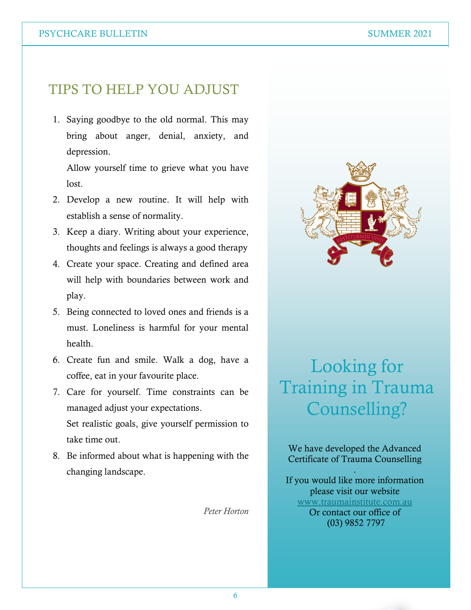#### PSYCHCARE BULLETIN SUMMER 2021

## TIPS TO HELP YOU ADJUST

1. Saying goodbye to the old normal. This may bring about anger, denial, anxiety, and depression.

Allow yourself time to grieve what you have lost.

- 2. Develop a new routine. It will help with establish a sense of normality.
- 3. Keep a diary. Writing about your experience, thoughts and feelings is always a good therapy
- 4. Create your space. Creating and defined area will help with boundaries between work and play.
- 5. Being connected to loved ones and friends is a must. Loneliness is harmful for your mental health.
- 6. Create fun and smile. Walk a dog, have a coffee, eat in your favourite place.
- 7. Care for yourself. Time constraints can be managed adjust your expectations. Set realistic goals, give yourself permission to take time out.
- 8. Be informed about what is happening with the changing landscape.

*Peter Horton*



# Looking for Training in Trauma Counselling?

We have developed the Advanced Certificate of Trauma Counselling

.

If you would like more information please visit our website [www.traumainstitute.com.au](http://www.traumainstitute.com.au/) Or contact our office of (03) 9852 7797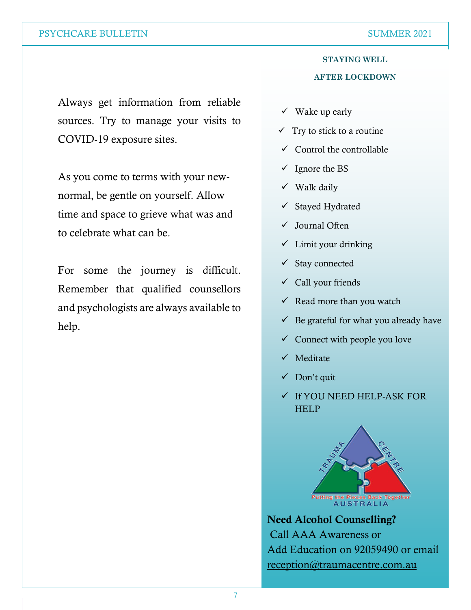#### **STAYING WELL AFTER LOCKDOWN**

Always get information from reliable sources. Try to manage your visits to COVID-19 exposure sites.

As you come to terms with your newnormal, be gentle on yourself. Allow time and space to grieve what was and to celebrate what can be.

For some the journey is difficult. Remember that qualified counsellors and psychologists are always available to help.

- $\checkmark$  Wake up early
- $\checkmark$  Try to stick to a routine
- $\checkmark$  Control the controllable
- $\checkmark$  Ignore the BS
- $\checkmark$  Walk daily
- ✓ Stayed Hydrated
- ✓ Journal Often
- ✓ Limit your drinking
- $\checkmark$  Stay connected
- ✓ Call your friends
- $\checkmark$  Read more than you watch
- $\checkmark$  Be grateful for what you already have
- $\checkmark$  Connect with people you love
- ✓ Meditate
- ✓ Don't quit
- ✓ If YOU NEED HELP-ASK FOR **HELP**



Need Alcohol Counselling? Call AAA Awareness or Add Education on 92059490 or email [reception@traumacentre.com.au](mailto:reception@traumacentre.com.au)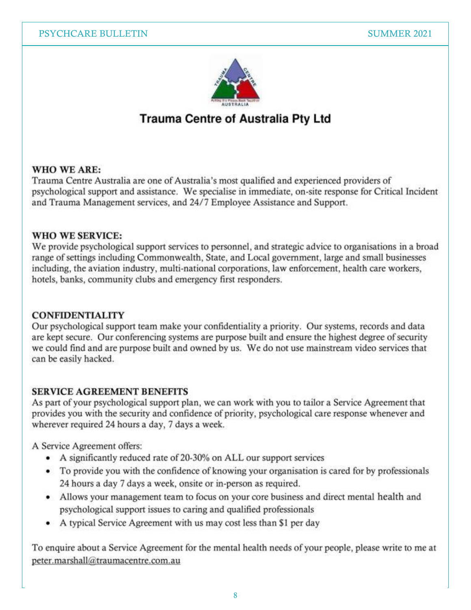

## **Trauma Centre of Australia Pty Ltd**

#### WHO WE ARE:

Trauma Centre Australia are one of Australia's most qualified and experienced providers of psychological support and assistance. We specialise in immediate, on-site response for Critical Incident and Trauma Management services, and 24/7 Employee Assistance and Support.

#### **WHO WE SERVICE:**

We provide psychological support services to personnel, and strategic advice to organisations in a broad range of settings including Commonwealth, State, and Local government, large and small businesses including, the aviation industry, multi-national corporations, law enforcement, health care workers, hotels, banks, community clubs and emergency first responders.

#### **CONFIDENTIALITY**

Our psychological support team make your confidentiality a priority. Our systems, records and data are kept secure. Our conferencing systems are purpose built and ensure the highest degree of security we could find and are purpose built and owned by us. We do not use mainstream video services that can be easily hacked.

#### **SERVICE AGREEMENT BENEFITS**

As part of your psychological support plan, we can work with you to tailor a Service Agreement that provides you with the security and confidence of priority, psychological care response whenever and wherever required 24 hours a day, 7 days a week.

A Service Agreement offers:

- A significantly reduced rate of 20-30% on ALL our support services
- To provide you with the confidence of knowing your organisation is cared for by professionals 24 hours a day 7 days a week, onsite or in-person as required.
- Allows your management team to focus on your core business and direct mental health and psychological support issues to caring and qualified professionals
- A typical Service Agreement with us may cost less than \$1 per day

To enquire about a Service Agreement for the mental health needs of your people, please write to me at peter.marshall@traumacentre.com.au